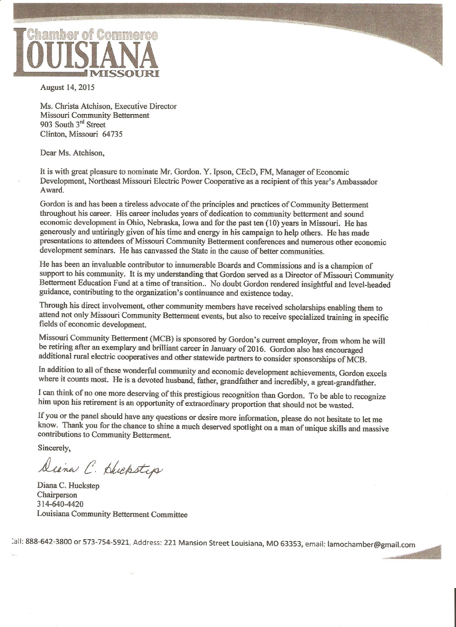

August 14, 2015

Ms. Christa Atchison, Executive Director **Missouri Community Betterment** 903 South 3rd Street Clinton, Missouri 64735

Dear Ms. Atchison,

It is with great pleasure to nominate Mr. Gordon. Y. Ipson, CEcD, FM, Manager of Economic Development, Northeast Missouri Electric Power Cooperative as a recipient of this year's Ambassador Award.

Gordon is and has been a tireless advocate of the principles and practices of Community Betterment throughout his career. His career includes years of dedication to community betterment and sound economic development in Ohio, Nebraska, Iowa and for the past ten (10) years in Missouri. He has generously and untiringly given of his time and energy in his campaign to help others. He has made presentations to attendees of Missouri Community Betterment conferences and numerous other economic development seminars. He has canvassed the State in the cause of better communities.

He has been an invaluable contributor to innumerable Boards and Commissions and is a champion of support to his community. It is my understanding that Gordon served as a Director of Missouri Community Betterment Education Fund at a time of transition.. No doubt Gordon rendered insightful and level-headed guidance, contributing to the organization's continuance and existence today.

Through his direct involvement, other community members have received scholarships enabling them to attend not only Missouri Community Betterment events, but also to receive specialized training in specific fields of economic development.

Missouri Community Betterment (MCB) is sponsored by Gordon's current employer, from whom he will be retiring after an exemplary and brilliant career in January of 2016. Gordon also has encouraged additional rural electric cooperatives and other statewide partners to consider sponsorships of MCB.

In addition to all of these wonderful community and economic development achievements, Gordon excels where it counts most. He is a devoted husband, father, grandfather and incredibly, a great-grandfather.

I can think of no one more deserving of this prestigious recognition than Gordon. To be able to recognize him upon his retirement is an opportunity of extraordinary proportion that should not be wasted.

If you or the panel should have any questions or desire more information, please do not hesitate to let me know. Thank you for the chance to shine a much deserved spotlight on a man of unique skills and massive contributions to Community Betterment.

Sincerely,

Diana C. Huckstep

Diana C. Huckstep Chairperson 314-640-4420 Louisiana Community Betterment Committee

Call: 888-642-3800 or 573-754-5921, Address: 221 Mansion Street Louisiana, MO 63353, email: lamochamber@gmail.com

**CRACK THE SEC**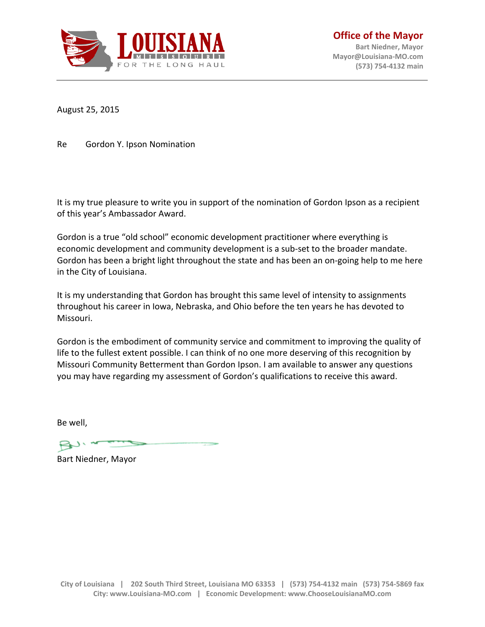

**Office of the Mayor Bart Niedner, Mayor [Mayor@Louisiana-MO.com](mailto:Mayor@Louisiana-MO.com) (573) 754-4132 main**

August 25, 2015

Re Gordon Y. Ipson Nomination

It is my true pleasure to write you in support of the nomination of Gordon Ipson as a recipient of this year's Ambassador Award.

Gordon is a true "old school" economic development practitioner where everything is economic development and community development is a sub-set to the broader mandate. Gordon has been a bright light throughout the state and has been an on-going help to me here in the City of Louisiana.

It is my understanding that Gordon has brought this same level of intensity to assignments throughout his career in Iowa, Nebraska, and Ohio before the ten years he has devoted to Missouri.

Gordon is the embodiment of community service and commitment to improving the quality of life to the fullest extent possible. I can think of no one more deserving of this recognition by Missouri Community Betterment than Gordon Ipson. I am available to answer any questions you may have regarding my assessment of Gordon's qualifications to receive this award.

Be well,

Bart Niedner, Mayor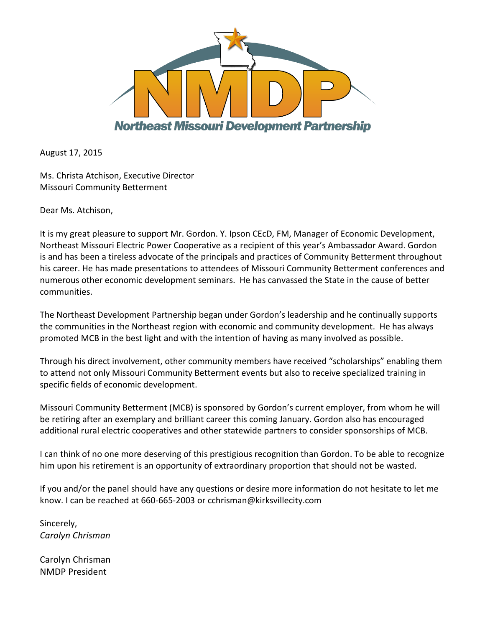

August 17, 2015

Ms. Christa Atchison, Executive Director Missouri Community Betterment

Dear Ms. Atchison,

It is my great pleasure to support Mr. Gordon. Y. Ipson CEcD, FM, Manager of Economic Development, Northeast Missouri Electric Power Cooperative as a recipient of this year's Ambassador Award. Gordon is and has been a tireless advocate of the principals and practices of Community Betterment throughout his career. He has made presentations to attendees of Missouri Community Betterment conferences and numerous other economic development seminars. He has canvassed the State in the cause of better communities.

The Northeast Development Partnership began under Gordon's leadership and he continually supports the communities in the Northeast region with economic and community development. He has always promoted MCB in the best light and with the intention of having as many involved as possible.

Through his direct involvement, other community members have received "scholarships" enabling them to attend not only Missouri Community Betterment events but also to receive specialized training in specific fields of economic development.

Missouri Community Betterment (MCB) is sponsored by Gordon's current employer, from whom he will be retiring after an exemplary and brilliant career this coming January. Gordon also has encouraged additional rural electric cooperatives and other statewide partners to consider sponsorships of MCB.

I can think of no one more deserving of this prestigious recognition than Gordon. To be able to recognize him upon his retirement is an opportunity of extraordinary proportion that should not be wasted.

If you and/or the panel should have any questions or desire more information do not hesitate to let me know. I can be reached at 660-665-2003 or cchrisman@kirksvillecity.com

Sincerely, *Carolyn Chrisman*

Carolyn Chrisman NMDP President